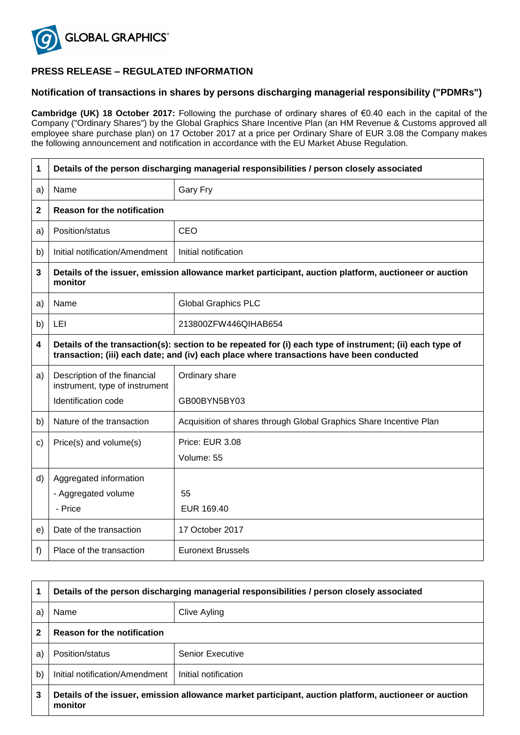

## **PRESS RELEASE – REGULATED INFORMATION**

## **Notification of transactions in shares by persons discharging managerial responsibility ("PDMRs")**

**Cambridge (UK) 18 October 2017:** Following the purchase of ordinary shares of €0.40 each in the capital of the Company ("Ordinary Shares") by the Global Graphics Share Incentive Plan (an HM Revenue & Customs approved all employee share purchase plan) on 17 October 2017 at a price per Ordinary Share of EUR 3.08 the Company makes the following announcement and notification in accordance with the EU Market Abuse Regulation.

| 1                       | Details of the person discharging managerial responsibilities / person closely associated                                                                                                            |                                                                    |  |
|-------------------------|------------------------------------------------------------------------------------------------------------------------------------------------------------------------------------------------------|--------------------------------------------------------------------|--|
| a)                      | Name                                                                                                                                                                                                 | Gary Fry                                                           |  |
| 2                       | <b>Reason for the notification</b>                                                                                                                                                                   |                                                                    |  |
| a)                      | Position/status                                                                                                                                                                                      | <b>CEO</b>                                                         |  |
| b)                      | Initial notification/Amendment                                                                                                                                                                       | Initial notification                                               |  |
| 3                       | Details of the issuer, emission allowance market participant, auction platform, auctioneer or auction<br>monitor                                                                                     |                                                                    |  |
| a)                      | Name                                                                                                                                                                                                 | <b>Global Graphics PLC</b>                                         |  |
| b)                      | LEI                                                                                                                                                                                                  | 213800ZFW446QIHAB654                                               |  |
| $\overline{\mathbf{4}}$ | Details of the transaction(s): section to be repeated for (i) each type of instrument; (ii) each type of<br>transaction; (iii) each date; and (iv) each place where transactions have been conducted |                                                                    |  |
| a)                      | Description of the financial<br>instrument, type of instrument<br>Identification code                                                                                                                | Ordinary share<br>GB00BYN5BY03                                     |  |
|                         |                                                                                                                                                                                                      |                                                                    |  |
| b)                      | Nature of the transaction                                                                                                                                                                            | Acquisition of shares through Global Graphics Share Incentive Plan |  |
| C)                      | Price(s) and volume(s)                                                                                                                                                                               | Price: EUR 3.08                                                    |  |
|                         |                                                                                                                                                                                                      | Volume: 55                                                         |  |
| d)                      | Aggregated information                                                                                                                                                                               |                                                                    |  |
|                         | - Aggregated volume                                                                                                                                                                                  | 55                                                                 |  |
|                         | - Price                                                                                                                                                                                              | EUR 169.40                                                         |  |
| e)                      | Date of the transaction                                                                                                                                                                              | 17 October 2017                                                    |  |
| f)                      | Place of the transaction                                                                                                                                                                             | <b>Euronext Brussels</b>                                           |  |

|             | Details of the person discharging managerial responsibilities / person closely associated                        |                         |  |
|-------------|------------------------------------------------------------------------------------------------------------------|-------------------------|--|
| a)          | Name                                                                                                             | Clive Ayling            |  |
| $\mathbf 2$ | <b>Reason for the notification</b>                                                                               |                         |  |
| a)          | Position/status                                                                                                  | <b>Senior Executive</b> |  |
| b)          | Initial notification/Amendment                                                                                   | Initial notification    |  |
| 3           | Details of the issuer, emission allowance market participant, auction platform, auctioneer or auction<br>monitor |                         |  |